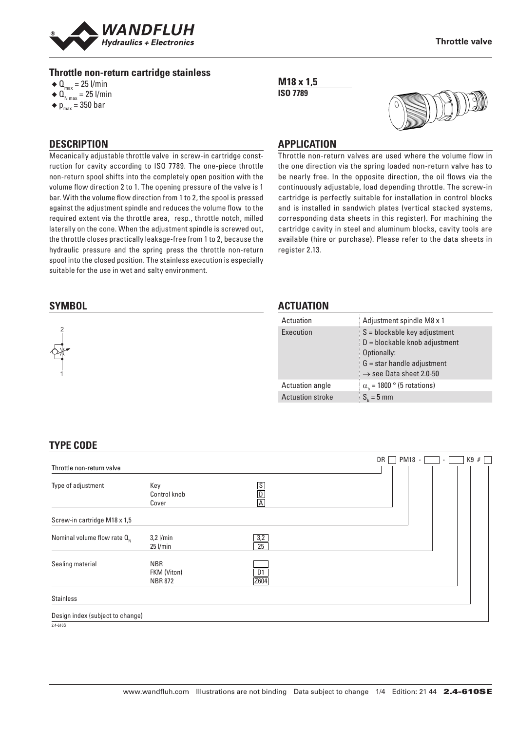

#### **Throttle non-return cartridge stainless**

- $\triangleleft$  Q<sub>max</sub> = 25 l/min
- $\triangleleft$  Q<sub>N max</sub> = 25 l/min
- $\bullet$  p<sub>max</sub> = 350 bar

## **DESCRIPTION**

Mecanically adjustable throttle valve in screw-in cartridge construction for cavity according to ISO 7789. The one-piece throttle non-return spool shifts into the completely open position with the volume flow direction 2 to 1. The opening pressure of the valve is 1 bar. With the volume flow direction from 1 to 2, the spool is pressed against the adjustment spindle and reduces the volume flow to the required extent via the throttle area, resp., throttle notch, milled laterally on the cone. When the adjustment spindle is screwed out, the throttle closes practically leakage-free from 1 to 2, because the hydraulic pressure and the spring press the throttle non-return spool into the closed position. The stainless execution is especially suitable for the use in wet and salty environment.

#### **SYMBOL**

# 2 1

#### **M18 x 1,5 ISO 7789**



### **APPLICATION**

Throttle non-return valves are used where the volume flow in the one direction via the spring loaded non-return valve has to be nearly free. In the opposite direction, the oil flows via the continuously adjustable, load depending throttle. The screw-in cartridge is perfectly suitable for installation in control blocks and is installed in sandwich plates (vertical stacked systems, corresponding data sheets in this register). For machining the cartridge cavity in steel and aluminum blocks, cavity tools are available (hire or purchase). Please refer to the data sheets in register 2.13.

#### **ACTUATION**

| Adjustment spindle M8 x 1                                                                                                                               |
|---------------------------------------------------------------------------------------------------------------------------------------------------------|
| $S = blockable$ key adjustment<br>$D = blockable$ knob adjustment<br>Optionally:<br>$G =$ star handle adjustment<br>$\rightarrow$ see Data sheet 2.0-50 |
| $\alpha_{h}$ = 1800 ° (5 rotations)<br>$S_{1} = 5$ mm                                                                                                   |
|                                                                                                                                                         |

## **TYPE CODE**

|                                  |                                             |                                                                      | PM18 -<br>#<br>DR<br>K9<br>$\overline{\phantom{a}}$ |
|----------------------------------|---------------------------------------------|----------------------------------------------------------------------|-----------------------------------------------------|
| Throttle non-return valve        |                                             |                                                                      |                                                     |
| Type of adjustment               | Key<br>Control knob<br>Cover                | $\overline{\mathsf{S}}$<br>$\overline{\mathsf{D}}$<br>$\overline{A}$ |                                                     |
| Screw-in cartridge M18 x 1,5     |                                             |                                                                      |                                                     |
| Nominal volume flow rate $Q_{N}$ | $3,2$ l/min<br>$25$ l/min                   | 3,2<br>25                                                            |                                                     |
| Sealing material                 | <b>NBR</b><br>FKM (Viton)<br><b>NBR 872</b> | D <sub>1</sub><br>Z604                                               |                                                     |
| <b>Stainless</b>                 |                                             |                                                                      |                                                     |
| Design index (subject to change) |                                             |                                                                      |                                                     |
| 2.4-610S                         |                                             |                                                                      |                                                     |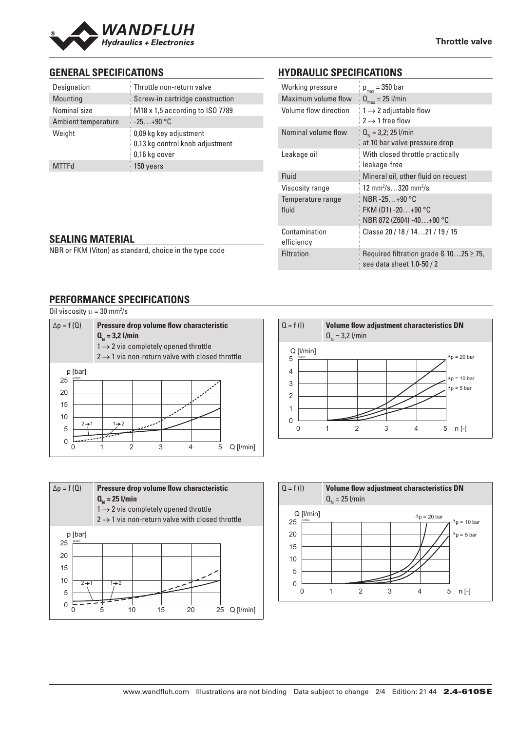

## **GENERAL SPECIFICATIONS**

| Designation         | Throttle non-return valve                                                  |
|---------------------|----------------------------------------------------------------------------|
| Mounting            | Screw-in cartridge construction                                            |
| Nominal size        | M18 x 1,5 according to ISO 7789                                            |
| Ambient temperature | $-25+90 °C$                                                                |
| Weight              | 0,09 kg key adjustment<br>0,13 kg control knob adjustment<br>0,16 kg cover |
| <b>MTTFd</b>        | 150 years                                                                  |
|                     |                                                                            |

## **HYDRAULIC SPECIFICATIONS**

| Working pressure            | $p_{max}$ = 350 bar                                                            |
|-----------------------------|--------------------------------------------------------------------------------|
| Maximum volume flow         | $Q_{\text{max}} = 25$ l/min                                                    |
| Volume flow direction       | $1 \rightarrow 2$ adjustable flow<br>$2 \rightarrow 1$ free flow               |
| Nominal volume flow         | $Q_{N} = 3.2$ ; 25 l/min<br>at 10 bar valve pressure drop                      |
| Leakage oil                 | With closed throttle practically<br>leakage-free                               |
| Fluid                       | Mineral oil, other fluid on request                                            |
| Viscosity range             | 12 mm <sup>2</sup> /s320 mm <sup>2</sup> /s                                    |
| Temperature range<br>fluid  | NBR-25 $+90$ °C<br>FKM (D1) -20+90 °C<br>NBR 872 (Z604) -40+90 °C              |
| Contamination<br>efficiency | Classe 20 / 18 / 1421 / 19 / 15                                                |
| <b>Filtration</b>           | Required filtration grade $\beta$ 1025 $\geq$ 75,<br>see data sheet 1.0-50 / 2 |

#### **SEALING MATERIAL**

NBR or FKM (Viton) as standard, choice in the type code

## **PERFORMANCE SPECIFICATIONS**

| $\Delta p = f(Q)$      | Pressure drop volume flow characteristic<br>$Q_{N} = 3.2$ l/min<br>$1 \rightarrow 2$ via completely opened throttle<br>$2 \rightarrow 1$ via non-return valve with closed throttle |
|------------------------|------------------------------------------------------------------------------------------------------------------------------------------------------------------------------------|
| p [bar]<br>K0003<br>25 |                                                                                                                                                                                    |
|                        |                                                                                                                                                                                    |
| 20                     |                                                                                                                                                                                    |
| 15                     |                                                                                                                                                                                    |
| 10                     |                                                                                                                                                                                    |
| $2 \rightarrow 1$<br>5 | $1\rightarrow 2$                                                                                                                                                                   |
| 0                      | 3<br>5<br>$Q$ [ $l/min$ ]                                                                                                                                                          |





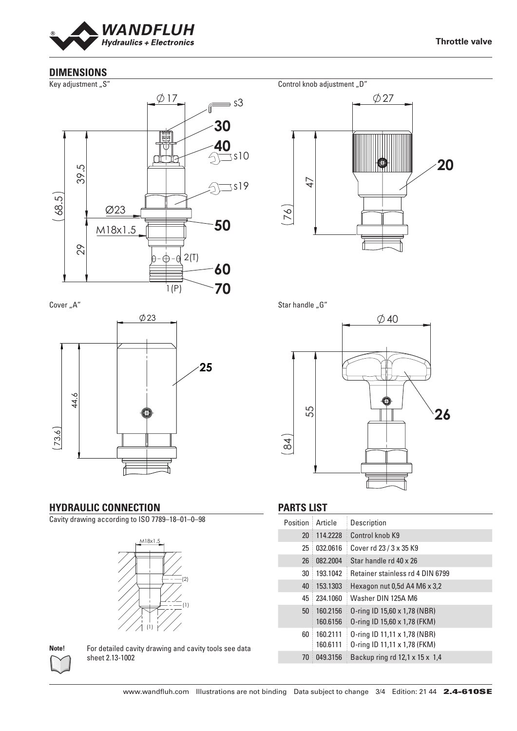

## **DIMENSIONS**

Key adjustment "S"



Cover<sub>"A"</sub>



## **HYDRAULIC CONNECTION**

Cavity drawing according to ISO 7789–18–01–0–98





**Note!** For detailed cavity drawing and cavity tools see data sheet 2.13-1002



Star handle "G"



## **PARTS LIST**

| Position        | Article              | Description                                                  |
|-----------------|----------------------|--------------------------------------------------------------|
| 20 <sup>°</sup> | 114.2228             | Control knob K9                                              |
| 25              | 032.0616             | Cover rd 23 / 3 x 35 K9                                      |
| 26              | 082.2004             | Star handle rd 40 x 26                                       |
| 30              | 193.1042             | <b>Retainer stainless rd 4 DIN 6799</b>                      |
| 40              | 153.1303             | Hexagon nut 0,5d A4 M6 x 3,2                                 |
| 45              | 234.1060             | Washer DIN 125A M6                                           |
| 50 <sup>°</sup> | 160.2156<br>160.6156 | 0-ring ID 15,60 x 1,78 (NBR)<br>0-ring ID 15,60 x 1,78 (FKM) |
| 60              | 160.2111<br>160.6111 | 0-ring ID 11,11 x 1,78 (NBR)<br>0-ring ID 11,11 x 1,78 (FKM) |
| 70              | 049.3156             | Backup ring rd $12.1 \times 15 \times 1.4$                   |